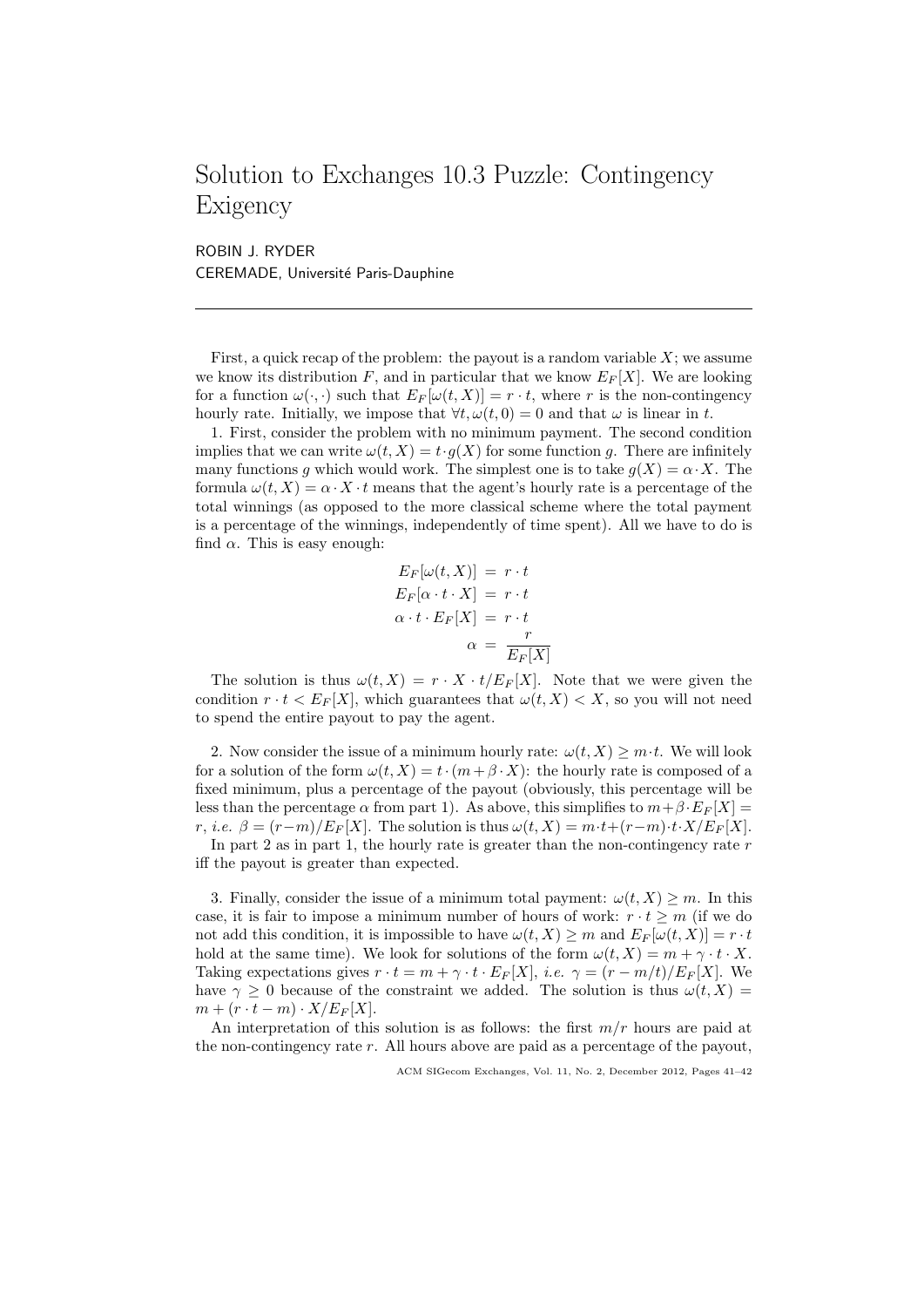## Solution to Exchanges 10.3 Puzzle: Contingency Exigency

ROBIN J. RYDER CEREMADE, Université Paris-Dauphine

First, a quick recap of the problem: the payout is a random variable  $X$ ; we assume we know its distribution F, and in particular that we know  $E_F[X]$ . We are looking for a function  $\omega(\cdot, \cdot)$  such that  $E_F[\omega(t, X)] = r \cdot t$ , where r is the non-contingency hourly rate. Initially, we impose that  $\forall t, \omega(t, 0) = 0$  and that  $\omega$  is linear in t.

1. First, consider the problem with no minimum payment. The second condition implies that we can write  $\omega(t, X) = t \cdot g(X)$  for some function g. There are infinitely many functions g which would work. The simplest one is to take  $q(X) = \alpha \cdot X$ . The formula  $\omega(t, X) = \alpha \cdot X \cdot t$  means that the agent's hourly rate is a percentage of the total winnings (as opposed to the more classical scheme where the total payment is a percentage of the winnings, independently of time spent). All we have to do is find  $\alpha$ . This is easy enough:

$$
E_F[\omega(t, X)] = r \cdot t
$$
  
\n
$$
E_F[\alpha \cdot t \cdot X] = r \cdot t
$$
  
\n
$$
\alpha \cdot t \cdot E_F[X] = r \cdot t
$$
  
\n
$$
\alpha = \frac{r}{E_F[X]}
$$

The solution is thus  $\omega(t, X) = r \cdot X \cdot t / E_F[X]$ . Note that we were given the condition  $r \cdot t < E_F[X]$ , which guarantees that  $\omega(t, X) < X$ , so you will not need to spend the entire payout to pay the agent.

2. Now consider the issue of a minimum hourly rate:  $\omega(t, X) \geq m \cdot t$ . We will look for a solution of the form  $\omega(t, X) = t \cdot (m + \beta \cdot X)$ : the hourly rate is composed of a fixed minimum, plus a percentage of the payout (obviously, this percentage will be less than the percentage  $\alpha$  from part 1). As above, this simplifies to  $m+\beta \cdot E_F[X] =$ r, i.e.  $\beta = (r-m)/E_F[X]$ . The solution is thus  $\omega(t, X) = m \cdot t + (r-m) \cdot t \cdot X/E_F[X]$ . In part 2 as in part 1, the hourly rate is greater than the non-contingency rate  $r$ 

iff the payout is greater than expected.

3. Finally, consider the issue of a minimum total payment:  $\omega(t, X) \geq m$ . In this case, it is fair to impose a minimum number of hours of work:  $r \cdot t \geq m$  (if we do not add this condition, it is impossible to have  $\omega(t, X) \geq m$  and  $E_F[\omega(t, X)] = r \cdot t$ hold at the same time). We look for solutions of the form  $\omega(t, X) = m + \gamma \cdot t \cdot X$ . Taking expectations gives  $r \cdot t = m + \gamma \cdot t \cdot E_F[X], i.e. \gamma = (r - m/t)/E_F[X].$  We have  $\gamma \geq 0$  because of the constraint we added. The solution is thus  $\omega(t, X) =$  $m + (r \cdot t - m) \cdot X/E_F[X].$ 

An interpretation of this solution is as follows: the first  $m/r$  hours are paid at the non-contingency rate r. All hours above are paid as a percentage of the payout,

ACM SIGecom Exchanges, Vol. 11, No. 2, December 2012, Pages 41–42